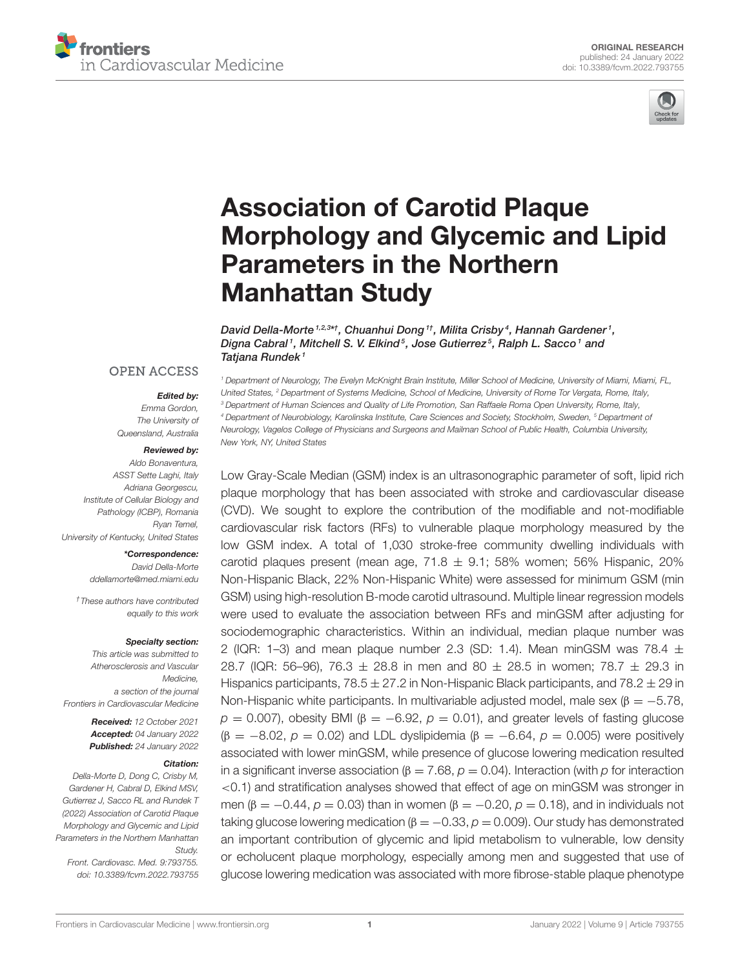



# Association of Carotid Plaque Morphology and Glycemic and Lipid Parameters in the Northern Manhattan Study

David Della-Morte 1,2,3\*†, Chuanhui Dong 1†, Milita Crisby 4, Hannah Gardener 1, Digna Cabral1, Mitchell S. V. Elkind<sup>5</sup>, Jose Gutierrez<sup>5</sup>, Ralph L. Sacco1 and Tatjana Rundek<sup>1</sup>

#### **OPEN ACCESS**

#### Edited by:

*Emma Gordon, The University of Queensland, Australia*

#### Reviewed by:

*Aldo Bonaventura, ASST Sette Laghi, Italy Adriana Georgescu, Institute of Cellular Biology and Pathology (ICBP), Romania Ryan Temel, University of Kentucky, United States*

#### \*Correspondence:

*David Della-Morte ddellamorte@med.miami.edu*

*†These authors have contributed equally to this work*

#### Specialty section:

*This article was submitted to Atherosclerosis and Vascular Medicine, a section of the journal Frontiers in Cardiovascular Medicine*

> Received: *12 October 2021* Accepted: *04 January 2022* Published: *24 January 2022*

#### Citation:

*Della-Morte D, Dong C, Crisby M, Gardener H, Cabral D, Elkind MSV, Gutierrez J, Sacco RL and Rundek T (2022) Association of Carotid Plaque Morphology and Glycemic and Lipid Parameters in the Northern Manhattan Study.*

*Front. Cardiovasc. Med. 9:793755. doi: 10.3389/fcvm.2022.793755*

*<sup>1</sup> Department of Neurology, The Evelyn McKnight Brain Institute, Miller School of Medicine, University of Miami, Miami, FL, United States, <sup>2</sup> Department of Systems Medicine, School of Medicine, University of Rome Tor Vergata, Rome, Italy, <sup>3</sup> Department of Human Sciences and Quality of Life Promotion, San Raffaele Roma Open University, Rome, Italy, <sup>4</sup> Department of Neurobiology, Karolinska Institute, Care Sciences and Society, Stockholm, Sweden, <sup>5</sup> Department of Neurology, Vagelos College of Physicians and Surgeons and Mailman School of Public Health, Columbia University, New York, NY, United States*

Low Gray-Scale Median (GSM) index is an ultrasonographic parameter of soft, lipid rich plaque morphology that has been associated with stroke and cardiovascular disease (CVD). We sought to explore the contribution of the modifiable and not-modifiable cardiovascular risk factors (RFs) to vulnerable plaque morphology measured by the low GSM index. A total of 1,030 stroke-free community dwelling individuals with carotid plaques present (mean age,  $71.8 \pm 9.1$ ; 58% women; 56% Hispanic, 20% Non-Hispanic Black, 22% Non-Hispanic White) were assessed for minimum GSM (min GSM) using high-resolution B-mode carotid ultrasound. Multiple linear regression models were used to evaluate the association between RFs and minGSM after adjusting for sociodemographic characteristics. Within an individual, median plaque number was 2 (IQR: 1–3) and mean plaque number 2.3 (SD: 1.4). Mean minGSM was 78.4  $\pm$ 28.7 (IQR: 56–96), 76.3  $\pm$  28.8 in men and 80  $\pm$  28.5 in women; 78.7  $\pm$  29.3 in Hispanics participants,  $78.5 \pm 27.2$  in Non-Hispanic Black participants, and  $78.2 \pm 29$  in Non-Hispanic white participants. In multivariable adjusted model, male sex ( $\beta = -5.78$ ,  $p = 0.007$ ), obesity BMI ( $\beta = -6.92$ ,  $p = 0.01$ ), and greater levels of fasting glucose (β = −8.02, *p* = 0.02) and LDL dyslipidemia (β = −6.64, *p* = 0.005) were positively associated with lower minGSM, while presence of glucose lowering medication resulted in a significant inverse association (β = 7.68, *p* = 0.04). Interaction (with *p* for interaction <0.1) and stratification analyses showed that effect of age on minGSM was stronger in men ( $\beta = -0.44$ ,  $\rho = 0.03$ ) than in women ( $\beta = -0.20$ ,  $\rho = 0.18$ ), and in individuals not taking glucose lowering medication ( $\beta = -0.33$ ,  $\rho = 0.009$ ). Our study has demonstrated an important contribution of glycemic and lipid metabolism to vulnerable, low density or echolucent plaque morphology, especially among men and suggested that use of glucose lowering medication was associated with more fibrose-stable plaque phenotype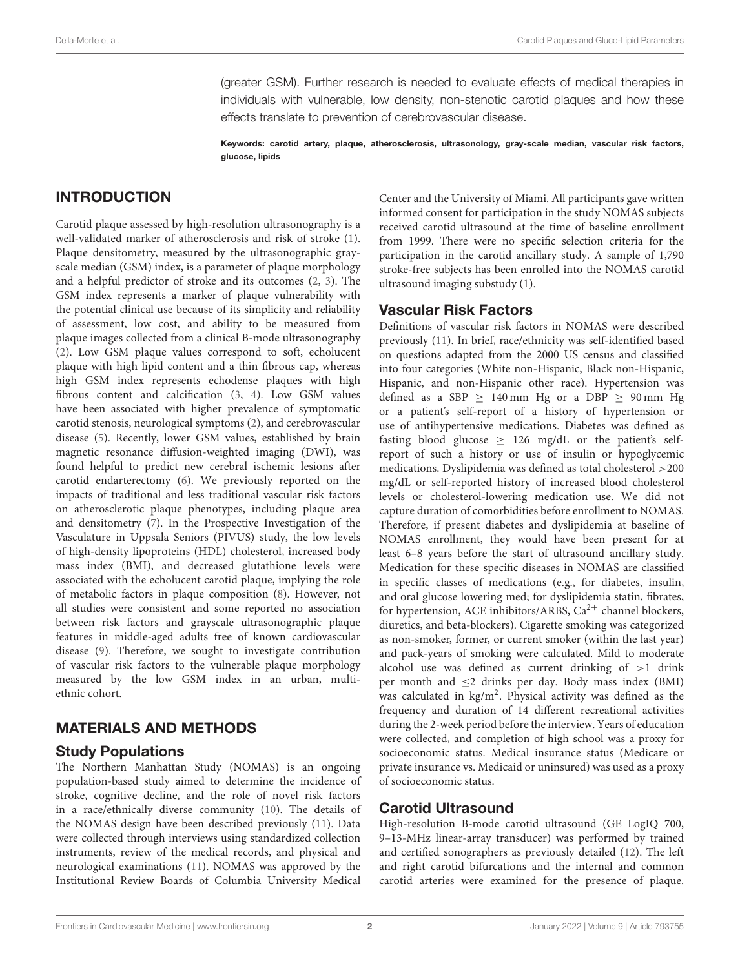(greater GSM). Further research is needed to evaluate effects of medical therapies in individuals with vulnerable, low density, non-stenotic carotid plaques and how these effects translate to prevention of cerebrovascular disease.

Keywords: carotid artery, plaque, atherosclerosis, ultrasonology, gray-scale median, vascular risk factors, glucose, lipids

# INTRODUCTION

Carotid plaque assessed by high-resolution ultrasonography is a well-validated marker of atherosclerosis and risk of stroke (1). Plaque densitometry, measured by the ultrasonographic grayscale median (GSM) index, is a parameter of plaque morphology and a helpful predictor of stroke and its outcomes (2, 3). The GSM index represents a marker of plaque vulnerability with the potential clinical use because of its simplicity and reliability of assessment, low cost, and ability to be measured from plaque images collected from a clinical B-mode ultrasonography (2). Low GSM plaque values correspond to soft, echolucent plaque with high lipid content and a thin fibrous cap, whereas high GSM index represents echodense plaques with high fibrous content and calcification (3, 4). Low GSM values have been associated with higher prevalence of symptomatic carotid stenosis, neurological symptoms (2), and cerebrovascular disease (5). Recently, lower GSM values, established by brain magnetic resonance diffusion-weighted imaging (DWI), was found helpful to predict new cerebral ischemic lesions after carotid endarterectomy (6). We previously reported on the impacts of traditional and less traditional vascular risk factors on atherosclerotic plaque phenotypes, including plaque area and densitometry (7). In the Prospective Investigation of the Vasculature in Uppsala Seniors (PIVUS) study, the low levels of high-density lipoproteins (HDL) cholesterol, increased body mass index (BMI), and decreased glutathione levels were associated with the echolucent carotid plaque, implying the role of metabolic factors in plaque composition (8). However, not all studies were consistent and some reported no association between risk factors and grayscale ultrasonographic plaque features in middle-aged adults free of known cardiovascular disease (9). Therefore, we sought to investigate contribution of vascular risk factors to the vulnerable plaque morphology measured by the low GSM index in an urban, multiethnic cohort.

# MATERIALS AND METHODS

## Study Populations

The Northern Manhattan Study (NOMAS) is an ongoing population-based study aimed to determine the incidence of stroke, cognitive decline, and the role of novel risk factors in a race/ethnically diverse community (10). The details of the NOMAS design have been described previously (11). Data were collected through interviews using standardized collection instruments, review of the medical records, and physical and neurological examinations (11). NOMAS was approved by the Institutional Review Boards of Columbia University Medical Center and the University of Miami. All participants gave written informed consent for participation in the study NOMAS subjects received carotid ultrasound at the time of baseline enrollment from 1999. There were no specific selection criteria for the participation in the carotid ancillary study. A sample of 1,790 stroke-free subjects has been enrolled into the NOMAS carotid ultrasound imaging substudy (1).

## Vascular Risk Factors

Definitions of vascular risk factors in NOMAS were described previously (11). In brief, race/ethnicity was self-identified based on questions adapted from the 2000 US census and classified into four categories (White non-Hispanic, Black non-Hispanic, Hispanic, and non-Hispanic other race). Hypertension was defined as a SBP  $\geq$  140 mm Hg or a DBP  $\geq$  90 mm Hg or a patient's self-report of a history of hypertension or use of antihypertensive medications. Diabetes was defined as fasting blood glucose  $\geq$  126 mg/dL or the patient's selfreport of such a history or use of insulin or hypoglycemic medications. Dyslipidemia was defined as total cholesterol >200 mg/dL or self-reported history of increased blood cholesterol levels or cholesterol-lowering medication use. We did not capture duration of comorbidities before enrollment to NOMAS. Therefore, if present diabetes and dyslipidemia at baseline of NOMAS enrollment, they would have been present for at least 6–8 years before the start of ultrasound ancillary study. Medication for these specific diseases in NOMAS are classified in specific classes of medications (e.g., for diabetes, insulin, and oral glucose lowering med; for dyslipidemia statin, fibrates, for hypertension, ACE inhibitors/ARBS,  $Ca^{2+}$  channel blockers, diuretics, and beta-blockers). Cigarette smoking was categorized as non-smoker, former, or current smoker (within the last year) and pack-years of smoking were calculated. Mild to moderate alcohol use was defined as current drinking of  $>1$  drink per month and ≤2 drinks per day. Body mass index (BMI) was calculated in kg/m<sup>2</sup>. Physical activity was defined as the frequency and duration of 14 different recreational activities during the 2-week period before the interview. Years of education were collected, and completion of high school was a proxy for socioeconomic status. Medical insurance status (Medicare or private insurance vs. Medicaid or uninsured) was used as a proxy of socioeconomic status.

## Carotid Ultrasound

High-resolution B-mode carotid ultrasound (GE LogIQ 700, 9–13-MHz linear-array transducer) was performed by trained and certified sonographers as previously detailed (12). The left and right carotid bifurcations and the internal and common carotid arteries were examined for the presence of plaque.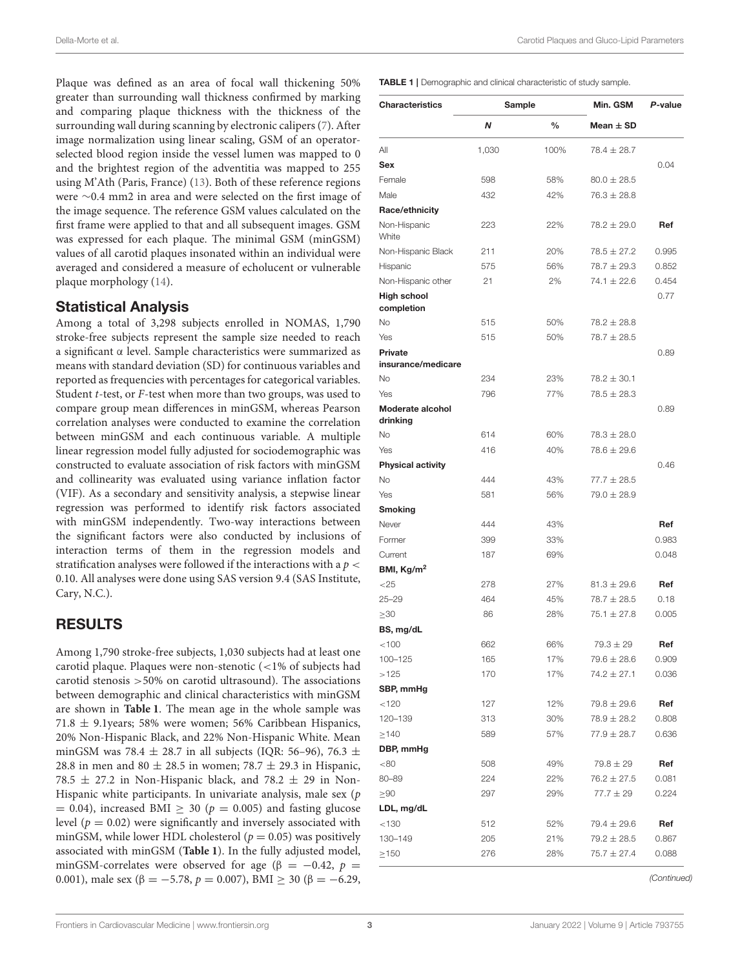Plaque was defined as an area of focal wall thickening 50% greater than surrounding wall thickness confirmed by marking and comparing plaque thickness with the thickness of the surrounding wall during scanning by electronic calipers (7). After image normalization using linear scaling, GSM of an operatorselected blood region inside the vessel lumen was mapped to 0 and the brightest region of the adventitia was mapped to 255 using M'Ath (Paris, France) (13). Both of these reference regions were ∼0.4 mm2 in area and were selected on the first image of the image sequence. The reference GSM values calculated on the first frame were applied to that and all subsequent images. GSM was expressed for each plaque. The minimal GSM (minGSM) values of all carotid plaques insonated within an individual were averaged and considered a measure of echolucent or vulnerable plaque morphology (14).

# Statistical Analysis

Among a total of 3,298 subjects enrolled in NOMAS, 1,790 stroke-free subjects represent the sample size needed to reach a significant α level. Sample characteristics were summarized as means with standard deviation (SD) for continuous variables and reported as frequencies with percentages for categorical variables. Student t-test, or F-test when more than two groups, was used to compare group mean differences in minGSM, whereas Pearson correlation analyses were conducted to examine the correlation between minGSM and each continuous variable. A multiple linear regression model fully adjusted for sociodemographic was constructed to evaluate association of risk factors with minGSM and collinearity was evaluated using variance inflation factor (VIF). As a secondary and sensitivity analysis, a stepwise linear regression was performed to identify risk factors associated with minGSM independently. Two-way interactions between the significant factors were also conducted by inclusions of interaction terms of them in the regression models and stratification analyses were followed if the interactions with a  $p <$ 0.10. All analyses were done using SAS version 9.4 (SAS Institute, Cary, N.C.).

# RESULTS

Among 1,790 stroke-free subjects, 1,030 subjects had at least one carotid plaque. Plaques were non-stenotic (<1% of subjects had carotid stenosis >50% on carotid ultrasound). The associations between demographic and clinical characteristics with minGSM are shown in **Table 1**. The mean age in the whole sample was 71.8 ± 9.1years; 58% were women; 56% Caribbean Hispanics, 20% Non-Hispanic Black, and 22% Non-Hispanic White. Mean minGSM was 78.4  $\pm$  28.7 in all subjects (IQR: 56–96), 76.3  $\pm$ 28.8 in men and 80  $\pm$  28.5 in women; 78.7  $\pm$  29.3 in Hispanic, 78.5  $\pm$  27.2 in Non-Hispanic black, and 78.2  $\pm$  29 in Non-Hispanic white participants. In univariate analysis, male sex (p  $= 0.04$ ), increased BMI  $\geq 30$  ( $p = 0.005$ ) and fasting glucose level ( $p = 0.02$ ) were significantly and inversely associated with minGSM, while lower HDL cholesterol ( $p = 0.05$ ) was positively associated with minGSM (**Table 1**). In the fully adjusted model, minGSM-correlates were observed for age ( $\beta = -0.42$ ,  $p =$ 0.001), male sex (β = −5.78,  $p = 0.007$ ), BMI ≥ 30 (β = −6.29, TABLE 1 | Demographic and clinical characteristic of study sample.

| <b>Characteristics</b>           | Sample |               | Min. GSM        | P-value |  |
|----------------------------------|--------|---------------|-----------------|---------|--|
|                                  | N      | $\frac{0}{0}$ | Mean $\pm$ SD   |         |  |
| All                              | 1,030  | 100%          | $78.4 \pm 28.7$ |         |  |
| <b>Sex</b>                       |        |               |                 | 0.04    |  |
| Female                           | 598    | 58%           | $80.0 \pm 28.5$ |         |  |
| Male                             | 432    | 42%           | $76.3 \pm 28.8$ |         |  |
| Race/ethnicity                   |        |               |                 |         |  |
| Non-Hispanic<br>White            | 223    | 22%           | $78.2 \pm 29.0$ | Ref     |  |
| Non-Hispanic Black               | 211    | 20%           | $78.5 \pm 27.2$ | 0.995   |  |
| Hispanic                         | 575    | 56%           | $78.7 \pm 29.3$ | 0.852   |  |
| Non-Hispanic other               | 21     | 2%            | $74.1 \pm 22.6$ | 0.454   |  |
| <b>High school</b><br>completion |        |               |                 | 0.77    |  |
| No                               | 515    | 50%           | $78.2 \pm 28.8$ |         |  |
| Yes                              | 515    | 50%           | $78.7 \pm 28.5$ |         |  |
| Private<br>insurance/medicare    |        |               |                 | 0.89    |  |
| <b>No</b>                        | 234    | 23%           | $78.2 \pm 30.1$ |         |  |
| Yes                              | 796    | 77%           | $78.5 \pm 28.3$ |         |  |
| Moderate alcohol<br>drinking     |        |               |                 | 0.89    |  |
| No                               | 614    | 60%           | $78.3 \pm 28.0$ |         |  |
| Yes                              | 416    | 40%           | $78.6 \pm 29.6$ |         |  |
| <b>Physical activity</b>         |        |               |                 | 0.46    |  |
| No                               | 444    | 43%           | $77.7 \pm 28.5$ |         |  |
| Yes                              | 581    | 56%           | $79.0 \pm 28.9$ |         |  |
| <b>Smoking</b>                   |        |               |                 |         |  |
| Never                            | 444    | 43%           |                 | Ref     |  |
| Former                           | 399    | 33%           |                 | 0.983   |  |
| Current                          | 187    | 69%           |                 | 0.048   |  |
| BMI, $Kg/m2$                     |        |               |                 |         |  |
| ${<}25$                          | 278    | 27%           | $81.3 \pm 29.6$ | Ref     |  |
| $25 - 29$                        | 464    | 45%           | $78.7 \pm 28.5$ | 0.18    |  |
| $\geq$ 30                        | 86     | 28%           | $75.1 \pm 27.8$ | 0.005   |  |
| BS, mg/dL                        |        |               |                 |         |  |
| < 100                            | 662    | 66%           | $79.3 \pm 29$   | Ref     |  |
| 100-125                          | 165    | 17%           | $79.6 \pm 28.6$ | 0.909   |  |
| >125                             | 170    | 17%           | $74.2 \pm 27.1$ | 0.036   |  |
| SBP, mmHg                        |        |               |                 |         |  |
| < 120                            | 127    | 12%           | $79.8 \pm 29.6$ | Ref     |  |
| 120-139                          | 313    | 30%           | $78.9 \pm 28.2$ | 0.808   |  |
| $\geq$ 140                       | 589    | 57%           | $77.9 \pm 28.7$ | 0.636   |  |
| DBP, mmHg                        |        |               |                 |         |  |
| < 80                             | 508    | 49%           | $79.8 \pm 29$   | Ref     |  |
| 80-89                            | 224    | 22%           | $76.2 \pm 27.5$ | 0.081   |  |
| $\geq 90$                        | 297    | 29%           | $77.7 \pm 29$   | 0.224   |  |
| LDL, mg/dL                       |        |               |                 |         |  |
| < 130                            | 512    | 52%           | $79.4 \pm 29.6$ | Ref     |  |
| 130-149                          | 205    | 21%           | $79.2 \pm 28.5$ | 0.867   |  |
| $\geq$ 150                       | 276    | 28%           | $75.7 \pm 27.4$ | 0.088   |  |

*(Continued)*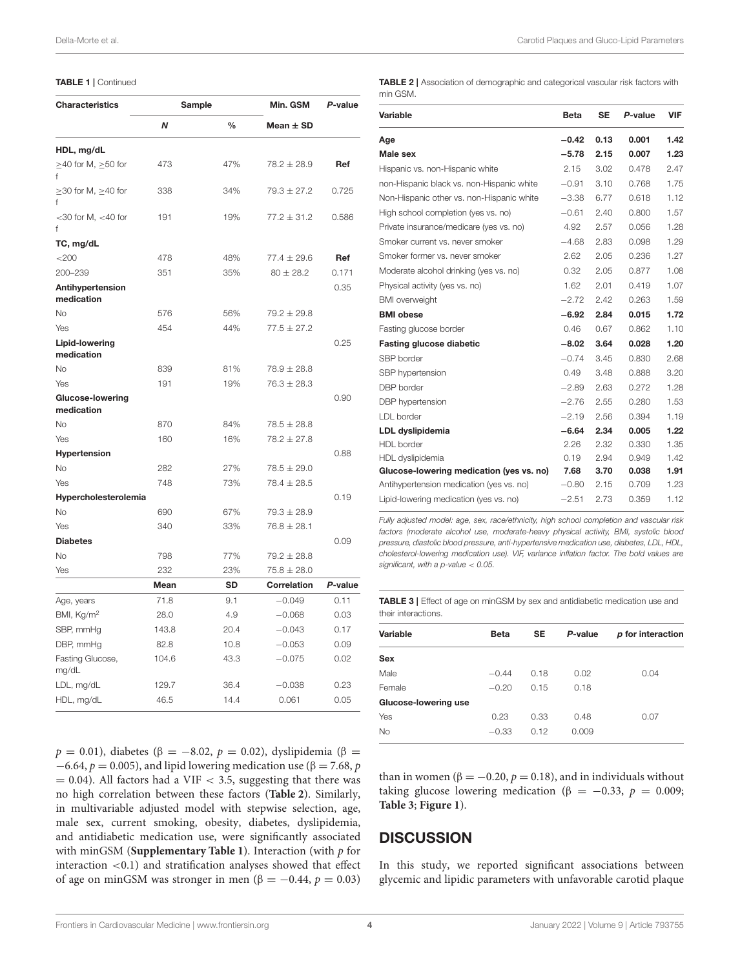| <b>Characteristics</b>                |                    | Sample    | Min. GSM        | P-value |  |
|---------------------------------------|--------------------|-----------|-----------------|---------|--|
|                                       | $\frac{0}{0}$<br>N |           | Mean $\pm$ SD   |         |  |
| HDL, mg/dL                            |                    |           |                 |         |  |
| $\geq$ 40 for M, $\geq$ 50 for        | 473                | 47%       | $78.2 \pm 28.9$ | Ref     |  |
| $\geq$ 30 for M, $\geq$ 40 for<br>f   | 338                | 34%       | $79.3 \pm 27.2$ | 0.725   |  |
| $<$ 30 for M, $<$ 40 for<br>f         | 191                | 19%       | $77.2 \pm 31.2$ | 0.586   |  |
| TC, mg/dL                             |                    |           |                 |         |  |
| <200                                  | 478                | 48%       | $77.4 \pm 29.6$ | Ref     |  |
| 200-239                               | 351                | 35%       | $80 \pm 28.2$   | 0.171   |  |
| Antihypertension<br>medication        |                    |           |                 | 0.35    |  |
| <b>No</b>                             | 576                | 56%       | $79.2 \pm 29.8$ |         |  |
| Yes                                   | 454                | 44%       | $77.5 \pm 27.2$ |         |  |
| <b>Lipid-lowering</b><br>medication   |                    |           |                 | 0.25    |  |
| <b>No</b>                             | 839                | 81%       | $78.9 \pm 28.8$ |         |  |
| Yes                                   | 191                | 19%       | $76.3 \pm 28.3$ |         |  |
| <b>Glucose-lowering</b><br>medication |                    |           |                 | 0.90    |  |
| <b>No</b>                             | 870                | 84%       | $78.5 \pm 28.8$ |         |  |
| Yes                                   | 160                | 16%       | $78.2 \pm 27.8$ |         |  |
| Hypertension                          |                    |           |                 | 0.88    |  |
| No                                    | 282                | 27%       | $78.5 \pm 29.0$ |         |  |
| Yes                                   | 748                | 73%       | $78.4 \pm 28.5$ |         |  |
| Hypercholesterolemia                  |                    |           |                 | 0.19    |  |
| No                                    | 690                | 67%       | $79.3 \pm 28.9$ |         |  |
| Yes                                   | 340                | 33%       | $76.8 \pm 28.1$ |         |  |
| <b>Diabetes</b>                       |                    |           |                 | 0.09    |  |
| No                                    | 798                | 77%       | $79.2 \pm 28.8$ |         |  |
| Yes                                   | 232                | 23%       | $75.8 \pm 28.0$ |         |  |
|                                       | Mean               | <b>SD</b> | Correlation     | P-value |  |
| Age, years                            | 71.8               | 9.1       | $-0.049$        | 0.11    |  |
| BMI, Kg/m <sup>2</sup>                | 28.0               | 4.9       | $-0.068$        | 0.03    |  |
| SBP, mmHg                             | 143.8              | 20.4      | $-0.043$        | 0.17    |  |
| DBP, mmHg                             | 82.8               | 10.8      | $-0.053$        | 0.09    |  |
| Fasting Glucose,<br>mg/dL             | 104.6              | 43.3      | $-0.075$        | 0.02    |  |
| LDL, mg/dL                            | 129.7              | 36.4      | $-0.038$        | 0.23    |  |
| HDL, mg/dL                            | 46.5               | 14.4      | 0.061           | 0.05    |  |

 $p = 0.01$ ), diabetes (β = -8.02,  $p = 0.02$ ), dyslipidemia (β =  $-6.64$ ,  $p = 0.005$ ), and lipid lowering medication use ( $\beta = 7.68$ , p  $= 0.04$ ). All factors had a VIF < 3.5, suggesting that there was no high correlation between these factors (**Table 2**). Similarly, in multivariable adjusted model with stepwise selection, age, male sex, current smoking, obesity, diabetes, dyslipidemia, and antidiabetic medication use, were significantly associated with minGSM (**Supplementary Table 1**). Interaction (with p for interaction <0.1) and stratification analyses showed that effect of age on minGSM was stronger in men ( $\beta = -0.44$ ,  $p = 0.03$ )

TABLE 2 | Association of demographic and categorical vascular risk factors with min GSM.

| <b>Variable</b>                           | <b>Beta</b> | <b>SE</b> | P-value | <b>VIF</b> |
|-------------------------------------------|-------------|-----------|---------|------------|
| Age                                       | $-0.42$     | 0.13      | 0.001   | 1.42       |
| Male sex                                  | $-5.78$     | 2.15      | 0.007   | 1.23       |
| Hispanic vs. non-Hispanic white           | 2.15        | 3.02      | 0.478   | 2.47       |
| non-Hispanic black vs. non-Hispanic white | $-0.91$     | 3.10      | 0.768   | 1.75       |
| Non-Hispanic other vs. non-Hispanic white | $-3.38$     | 6.77      | 0.618   | 1.12       |
| High school completion (yes vs. no)       | $-0.61$     | 2.40      | 0.800   | 1.57       |
| Private insurance/medicare (yes vs. no)   | 4.92        | 2.57      | 0.056   | 1.28       |
| Smoker current vs. never smoker           | $-4.68$     | 2.83      | 0.098   | 1.29       |
| Smoker former vs. never smoker            | 2.62        | 2.05      | 0.236   | 1.27       |
| Moderate alcohol drinking (yes vs. no)    | 0.32        | 2.05      | 0.877   | 1.08       |
| Physical activity (yes vs. no)            | 1.62        | 2.01      | 0.419   | 1.07       |
| <b>BMI</b> overweight                     | $-2.72$     | 2.42      | 0.263   | 1.59       |
| <b>BMI</b> obese                          | $-6.92$     | 2.84      | 0.015   | 1.72       |
| Fasting glucose border                    | 0.46        | 0.67      | 0.862   | 1.10       |
| <b>Fasting glucose diabetic</b>           | $-8.02$     | 3.64      | 0.028   | 1.20       |
| SBP border                                | $-0.74$     | 3.45      | 0.830   | 2.68       |
| SBP hypertension                          | 0.49        | 3.48      | 0.888   | 3.20       |
| DBP border                                | $-2.89$     | 2.63      | 0.272   | 1.28       |
| DBP hypertension                          | $-2.76$     | 2.55      | 0.280   | 1.53       |
| LDL border                                | $-2.19$     | 2.56      | 0.394   | 1.19       |
| LDL dyslipidemia                          | $-6.64$     | 2.34      | 0.005   | 1.22       |
| <b>HDL</b> border                         | 2.26        | 2.32      | 0.330   | 1.35       |
| HDL dyslipidemia                          | 0.19        | 2.94      | 0.949   | 1.42       |
| Glucose-lowering medication (yes vs. no)  | 7.68        | 3.70      | 0.038   | 1.91       |
| Antihypertension medication (yes vs. no)  | $-0.80$     | 2.15      | 0.709   | 1.23       |
| Lipid-lowering medication (yes vs. no)    | $-2.51$     | 2.73      | 0.359   | 1.12       |

*Fully adjusted model: age, sex, race/ethnicity, high school completion and vascular risk factors (moderate alcohol use, moderate-heavy physical activity, BMI, systolic blood pressure, diastolic blood pressure, anti-hypertensive medication use, diabetes, LDL, HDL, cholesterol-lowering medication use). VIF, variance inflation factor. The bold values are significant, with a p-value* < *0.05.*

|                     | <b>TABLE 3</b>   Effect of age on minGSM by sex and antidiabetic medication use and |  |  |  |
|---------------------|-------------------------------------------------------------------------------------|--|--|--|
| their interactions. |                                                                                     |  |  |  |

| Variable             | <b>Beta</b> | <b>SE</b> | P-value | p for interaction |
|----------------------|-------------|-----------|---------|-------------------|
| Sex                  |             |           |         |                   |
| Male                 | $-0.44$     | 0.18      | 0.02    | 0.04              |
| Female               | $-0.20$     | 0.15      | 0.18    |                   |
| Glucose-lowering use |             |           |         |                   |
| Yes                  | 0.23        | 0.33      | 0.48    | 0.07              |
| No                   | $-0.33$     | 0.12      | 0.009   |                   |
|                      |             |           |         |                   |

than in women ( $\beta = -0.20$ ,  $p = 0.18$ ), and in individuals without taking glucose lowering medication (β = -0.33,  $p = 0.009$ ; **Table 3**; **Figure 1**).

## **DISCUSSION**

In this study, we reported significant associations between glycemic and lipidic parameters with unfavorable carotid plaque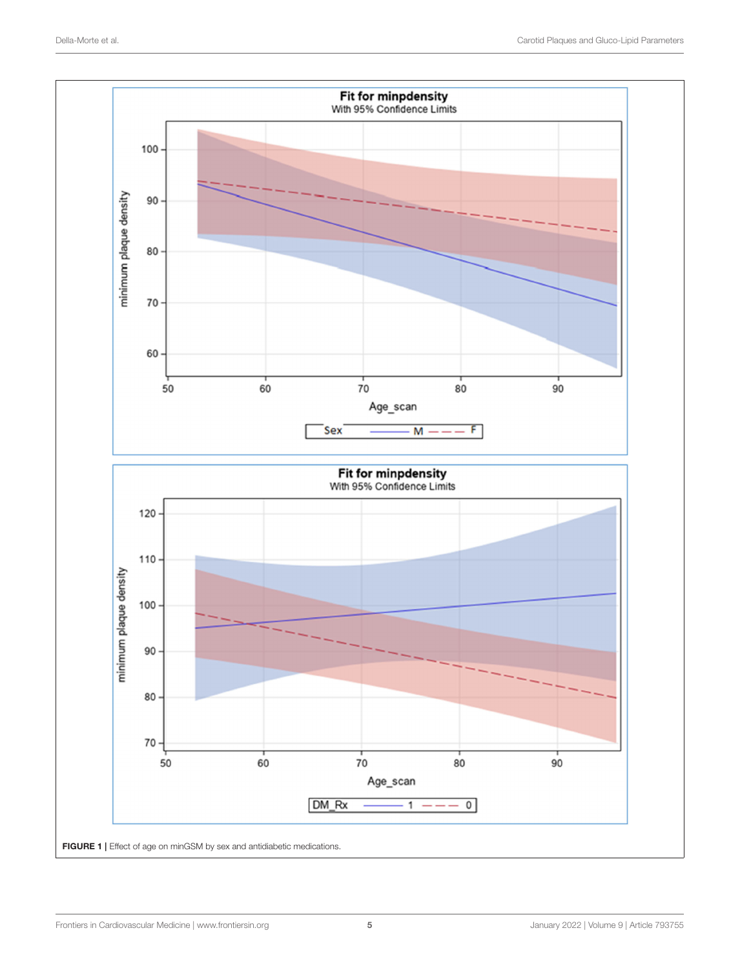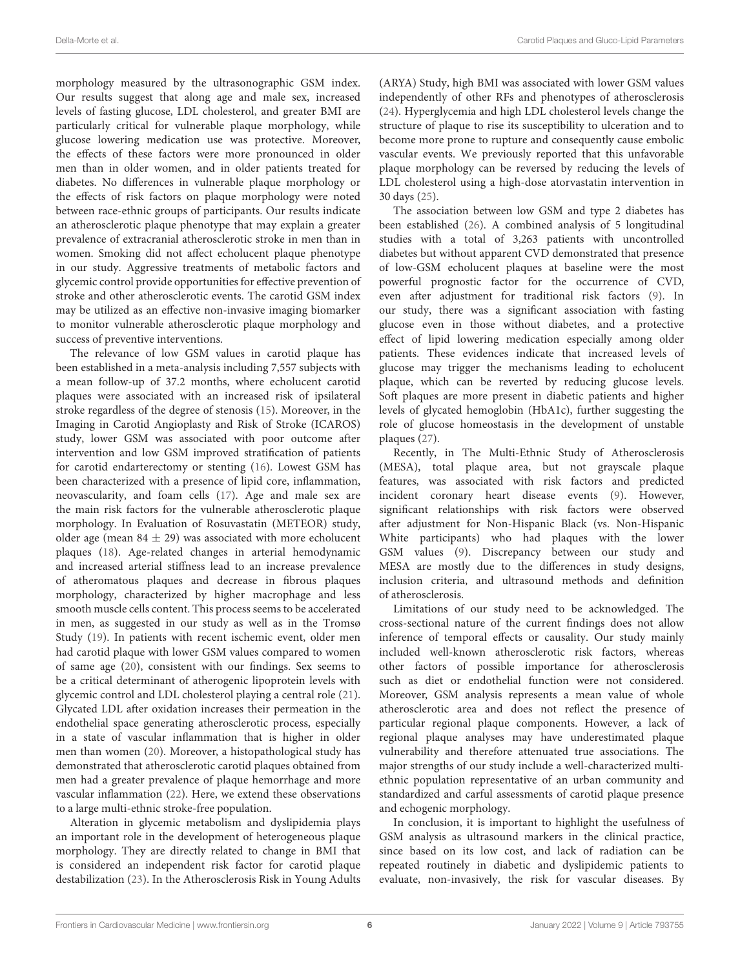morphology measured by the ultrasonographic GSM index. Our results suggest that along age and male sex, increased levels of fasting glucose, LDL cholesterol, and greater BMI are particularly critical for vulnerable plaque morphology, while glucose lowering medication use was protective. Moreover, the effects of these factors were more pronounced in older men than in older women, and in older patients treated for diabetes. No differences in vulnerable plaque morphology or the effects of risk factors on plaque morphology were noted between race-ethnic groups of participants. Our results indicate an atherosclerotic plaque phenotype that may explain a greater prevalence of extracranial atherosclerotic stroke in men than in women. Smoking did not affect echolucent plaque phenotype in our study. Aggressive treatments of metabolic factors and glycemic control provide opportunities for effective prevention of stroke and other atherosclerotic events. The carotid GSM index may be utilized as an effective non-invasive imaging biomarker to monitor vulnerable atherosclerotic plaque morphology and success of preventive interventions.

The relevance of low GSM values in carotid plaque has been established in a meta-analysis including 7,557 subjects with a mean follow-up of 37.2 months, where echolucent carotid plaques were associated with an increased risk of ipsilateral stroke regardless of the degree of stenosis (15). Moreover, in the Imaging in Carotid Angioplasty and Risk of Stroke (ICAROS) study, lower GSM was associated with poor outcome after intervention and low GSM improved stratification of patients for carotid endarterectomy or stenting (16). Lowest GSM has been characterized with a presence of lipid core, inflammation, neovascularity, and foam cells (17). Age and male sex are the main risk factors for the vulnerable atherosclerotic plaque morphology. In Evaluation of Rosuvastatin (METEOR) study, older age (mean  $84 \pm 29$ ) was associated with more echolucent plaques (18). Age-related changes in arterial hemodynamic and increased arterial stiffness lead to an increase prevalence of atheromatous plaques and decrease in fibrous plaques morphology, characterized by higher macrophage and less smooth muscle cells content. This process seems to be accelerated in men, as suggested in our study as well as in the Tromsø Study (19). In patients with recent ischemic event, older men had carotid plaque with lower GSM values compared to women of same age (20), consistent with our findings. Sex seems to be a critical determinant of atherogenic lipoprotein levels with glycemic control and LDL cholesterol playing a central role (21). Glycated LDL after oxidation increases their permeation in the endothelial space generating atherosclerotic process, especially in a state of vascular inflammation that is higher in older men than women (20). Moreover, a histopathological study has demonstrated that atherosclerotic carotid plaques obtained from men had a greater prevalence of plaque hemorrhage and more vascular inflammation (22). Here, we extend these observations to a large multi-ethnic stroke-free population.

Alteration in glycemic metabolism and dyslipidemia plays an important role in the development of heterogeneous plaque morphology. They are directly related to change in BMI that is considered an independent risk factor for carotid plaque destabilization (23). In the Atherosclerosis Risk in Young Adults (ARYA) Study, high BMI was associated with lower GSM values independently of other RFs and phenotypes of atherosclerosis (24). Hyperglycemia and high LDL cholesterol levels change the structure of plaque to rise its susceptibility to ulceration and to become more prone to rupture and consequently cause embolic vascular events. We previously reported that this unfavorable plaque morphology can be reversed by reducing the levels of LDL cholesterol using a high-dose atorvastatin intervention in 30 days (25).

The association between low GSM and type 2 diabetes has been established (26). A combined analysis of 5 longitudinal studies with a total of 3,263 patients with uncontrolled diabetes but without apparent CVD demonstrated that presence of low-GSM echolucent plaques at baseline were the most powerful prognostic factor for the occurrence of CVD, even after adjustment for traditional risk factors (9). In our study, there was a significant association with fasting glucose even in those without diabetes, and a protective effect of lipid lowering medication especially among older patients. These evidences indicate that increased levels of glucose may trigger the mechanisms leading to echolucent plaque, which can be reverted by reducing glucose levels. Soft plaques are more present in diabetic patients and higher levels of glycated hemoglobin (HbA1c), further suggesting the role of glucose homeostasis in the development of unstable plaques (27).

Recently, in The Multi-Ethnic Study of Atherosclerosis (MESA), total plaque area, but not grayscale plaque features, was associated with risk factors and predicted incident coronary heart disease events (9). However, significant relationships with risk factors were observed after adjustment for Non-Hispanic Black (vs. Non-Hispanic White participants) who had plaques with the lower GSM values (9). Discrepancy between our study and MESA are mostly due to the differences in study designs, inclusion criteria, and ultrasound methods and definition of atherosclerosis.

Limitations of our study need to be acknowledged. The cross-sectional nature of the current findings does not allow inference of temporal effects or causality. Our study mainly included well-known atherosclerotic risk factors, whereas other factors of possible importance for atherosclerosis such as diet or endothelial function were not considered. Moreover, GSM analysis represents a mean value of whole atherosclerotic area and does not reflect the presence of particular regional plaque components. However, a lack of regional plaque analyses may have underestimated plaque vulnerability and therefore attenuated true associations. The major strengths of our study include a well-characterized multiethnic population representative of an urban community and standardized and carful assessments of carotid plaque presence and echogenic morphology.

In conclusion, it is important to highlight the usefulness of GSM analysis as ultrasound markers in the clinical practice, since based on its low cost, and lack of radiation can be repeated routinely in diabetic and dyslipidemic patients to evaluate, non-invasively, the risk for vascular diseases. By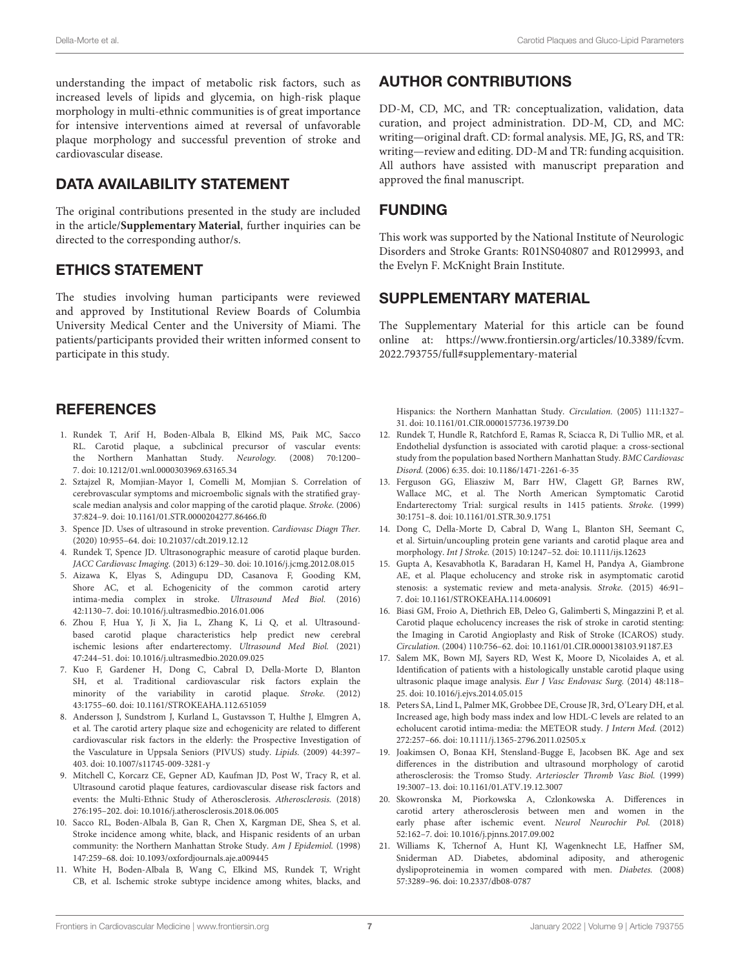understanding the impact of metabolic risk factors, such as increased levels of lipids and glycemia, on high-risk plaque morphology in multi-ethnic communities is of great importance for intensive interventions aimed at reversal of unfavorable plaque morphology and successful prevention of stroke and cardiovascular disease.

# DATA AVAILABILITY STATEMENT

The original contributions presented in the study are included in the article/**Supplementary Material**, further inquiries can be directed to the corresponding author/s.

# ETHICS STATEMENT

The studies involving human participants were reviewed and approved by Institutional Review Boards of Columbia University Medical Center and the University of Miami. The patients/participants provided their written informed consent to participate in this study.

# **REFERENCES**

- 1. Rundek T, Arif H, Boden-Albala B, Elkind MS, Paik MC, Sacco RL. Carotid plaque, a subclinical precursor of vascular events: the Northern Manhattan Study. Neurology. (2008) 70:1200– 7. doi: 10.1212/01.wnl.0000303969.63165.34
- 2. Sztajzel R, Momjian-Mayor I, Comelli M, Momjian S. Correlation of cerebrovascular symptoms and microembolic signals with the stratified grayscale median analysis and color mapping of the carotid plaque. Stroke. (2006) 37:824–9. doi: 10.1161/01.STR.0000204277.86466.f0
- 3. Spence JD. Uses of ultrasound in stroke prevention. Cardiovasc Diagn Ther. (2020) 10:955–64. doi: 10.21037/cdt.2019.12.12
- 4. Rundek T, Spence JD. Ultrasonographic measure of carotid plaque burden. JACC Cardiovasc Imaging. (2013) 6:129–30. doi: 10.1016/j.jcmg.2012.08.015
- 5. Aizawa K, Elyas S, Adingupu DD, Casanova F, Gooding KM, Shore AC, et al. Echogenicity of the common carotid artery intima-media complex in stroke. Ultrasound Med Biol. (2016) 42:1130–7. doi: 10.1016/j.ultrasmedbio.2016.01.006
- 6. Zhou F, Hua Y, Ji X, Jia L, Zhang K, Li Q, et al. Ultrasoundbased carotid plaque characteristics help predict new cerebral ischemic lesions after endarterectomy. Ultrasound Med Biol. (2021) 47:244–51. doi: 10.1016/j.ultrasmedbio.2020.09.025
- 7. Kuo F, Gardener H, Dong C, Cabral D, Della-Morte D, Blanton SH, et al. Traditional cardiovascular risk factors explain the minority of the variability in carotid plaque. Stroke. (2012) 43:1755–60. doi: 10.1161/STROKEAHA.112.651059
- 8. Andersson J, Sundstrom J, Kurland L, Gustavsson T, Hulthe J, Elmgren A, et al. The carotid artery plaque size and echogenicity are related to different cardiovascular risk factors in the elderly: the Prospective Investigation of the Vasculature in Uppsala Seniors (PIVUS) study. Lipids. (2009) 44:397– 403. doi: 10.1007/s11745-009-3281-y
- 9. Mitchell C, Korcarz CE, Gepner AD, Kaufman JD, Post W, Tracy R, et al. Ultrasound carotid plaque features, cardiovascular disease risk factors and events: the Multi-Ethnic Study of Atherosclerosis. Atherosclerosis. (2018) 276:195–202. doi: 10.1016/j.atherosclerosis.2018.06.005
- 10. Sacco RL, Boden-Albala B, Gan R, Chen X, Kargman DE, Shea S, et al. Stroke incidence among white, black, and Hispanic residents of an urban community: the Northern Manhattan Stroke Study. Am J Epidemiol. (1998) 147:259–68. doi: 10.1093/oxfordjournals.aje.a009445
- 11. White H, Boden-Albala B, Wang C, Elkind MS, Rundek T, Wright CB, et al. Ischemic stroke subtype incidence among whites, blacks, and

# AUTHOR CONTRIBUTIONS

DD-M, CD, MC, and TR: conceptualization, validation, data curation, and project administration. DD-M, CD, and MC: writing—original draft. CD: formal analysis. ME, JG, RS, and TR: writing—review and editing. DD-M and TR: funding acquisition. All authors have assisted with manuscript preparation and approved the final manuscript.

# FUNDING

This work was supported by the National Institute of Neurologic Disorders and Stroke Grants: R01NS040807 and R0129993, and the Evelyn F. McKnight Brain Institute.

# SUPPLEMENTARY MATERIAL

The Supplementary Material for this article can be found online at: https://www.frontiersin.org/articles/10.3389/fcvm. 2022.793755/full#supplementary-material

Hispanics: the Northern Manhattan Study. Circulation. (2005) 111:1327– 31. doi: 10.1161/01.CIR.0000157736.19739.D0

- 12. Rundek T, Hundle R, Ratchford E, Ramas R, Sciacca R, Di Tullio MR, et al. Endothelial dysfunction is associated with carotid plaque: a cross-sectional study from the population based Northern Manhattan Study. BMC Cardiovasc Disord. (2006) 6:35. doi: 10.1186/1471-2261-6-35
- 13. Ferguson GG, Eliasziw M, Barr HW, Clagett GP, Barnes RW, Wallace MC, et al. The North American Symptomatic Carotid Endarterectomy Trial: surgical results in 1415 patients. Stroke. (1999) 30:1751–8. doi: 10.1161/01.STR.30.9.1751
- 14. Dong C, Della-Morte D, Cabral D, Wang L, Blanton SH, Seemant C, et al. Sirtuin/uncoupling protein gene variants and carotid plaque area and morphology. Int J Stroke. (2015) 10:1247–52. doi: 10.1111/ijs.12623
- 15. Gupta A, Kesavabhotla K, Baradaran H, Kamel H, Pandya A, Giambrone AE, et al. Plaque echolucency and stroke risk in asymptomatic carotid stenosis: a systematic review and meta-analysis. Stroke. (2015) 46:91– 7. doi: 10.1161/STROKEAHA.114.006091
- 16. Biasi GM, Froio A, Diethrich EB, Deleo G, Galimberti S, Mingazzini P, et al. Carotid plaque echolucency increases the risk of stroke in carotid stenting: the Imaging in Carotid Angioplasty and Risk of Stroke (ICAROS) study. Circulation. (2004) 110:756–62. doi: 10.1161/01.CIR.0000138103.91187.E3
- 17. Salem MK, Bown MJ, Sayers RD, West K, Moore D, Nicolaides A, et al. Identification of patients with a histologically unstable carotid plaque using ultrasonic plaque image analysis. Eur J Vasc Endovasc Surg. (2014) 48:118– 25. doi: 10.1016/j.ejvs.2014.05.015
- 18. Peters SA, Lind L, Palmer MK, Grobbee DE, Crouse JR, 3rd, O'Leary DH, et al. Increased age, high body mass index and low HDL-C levels are related to an echolucent carotid intima-media: the METEOR study. J Intern Med. (2012) 272:257–66. doi: 10.1111/j.1365-2796.2011.02505.x
- 19. Joakimsen O, Bonaa KH, Stensland-Bugge E, Jacobsen BK. Age and sex differences in the distribution and ultrasound morphology of carotid atherosclerosis: the Tromso Study. Arterioscler Thromb Vasc Biol. (1999) 19:3007–13. doi: 10.1161/01.ATV.19.12.3007
- 20. Skowronska M, Piorkowska A, Czlonkowska A. Differences in carotid artery atherosclerosis between men and women in the early phase after ischemic event. Neurol Neurochir Pol. (2018) 52:162–7. doi: 10.1016/j.pjnns.2017.09.002
- 21. Williams K, Tchernof A, Hunt KJ, Wagenknecht LE, Haffner SM, Sniderman AD. Diabetes, abdominal adiposity, and atherogenic dyslipoproteinemia in women compared with men. Diabetes. (2008) 57:3289–96. doi: 10.2337/db08-0787